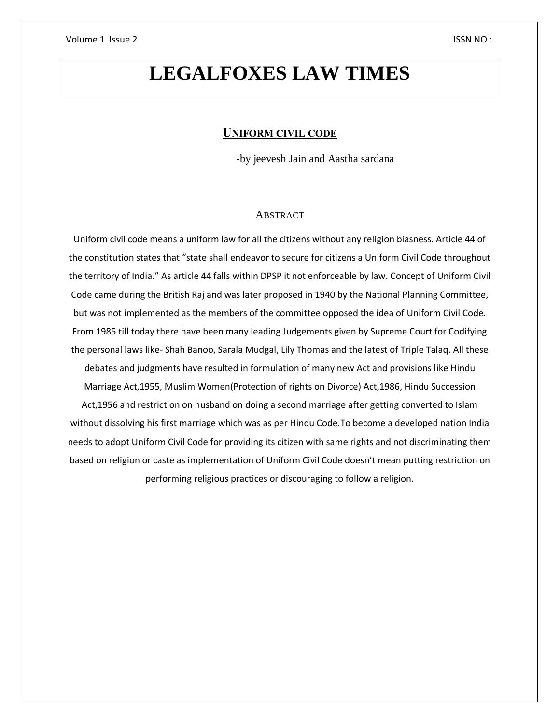# **LEGALFOXES LAW TIMES**

## **UNIFORM CIVIL CODE**

-by jeevesh Jain and Aastha sardana

#### ABSTRACT

Uniform civil code means a uniform law for all the citizens without any religion biasness. Article 44 of the constitution states that "state shall endeavor to secure for citizens a Uniform Civil Code throughout the territory of India." As article 44 falls within DPSP it not enforceable by law. Concept of Uniform Civil Code came during the British Raj and was later proposed in 1940 by the National Planning Committee, but was not implemented as the members of the committee opposed the idea of Uniform Civil Code. From 1985 till today there have been many leading Judgements given by Supreme Court for Codifying the personal laws like- Shah Banoo, Sarala Mudgal, Lily Thomas and the latest of Triple Talaq. All these debates and judgments have resulted in formulation of many new Act and provisions like Hindu Marriage Act,1955, Muslim Women(Protection of rights on Divorce) Act,1986, Hindu Succession Act,1956 and restriction on husband on doing a second marriage after getting converted to Islam without dissolving his first marriage which was as per Hindu Code.To become a developed nation India needs to adopt Uniform Civil Code for providing its citizen with same rights and not discriminating them based on religion or caste as implementation of Uniform Civil Code doesn't mean putting restriction on performing religious practices or discouraging to follow a religion.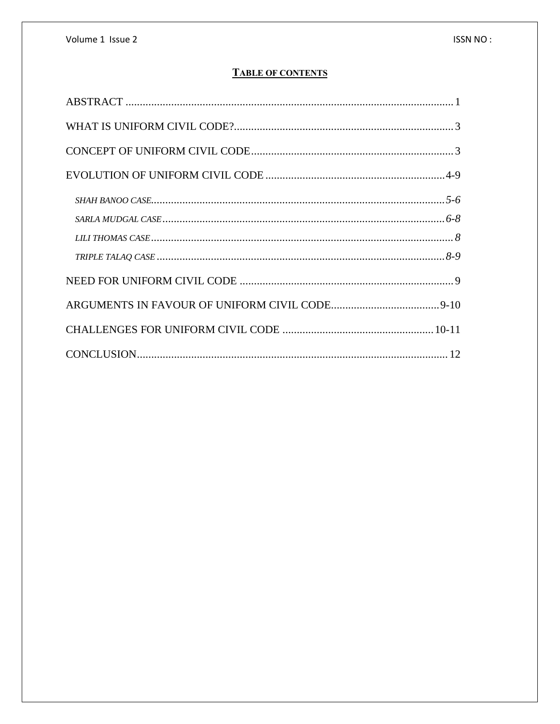# **TABLE OF CONTENTS**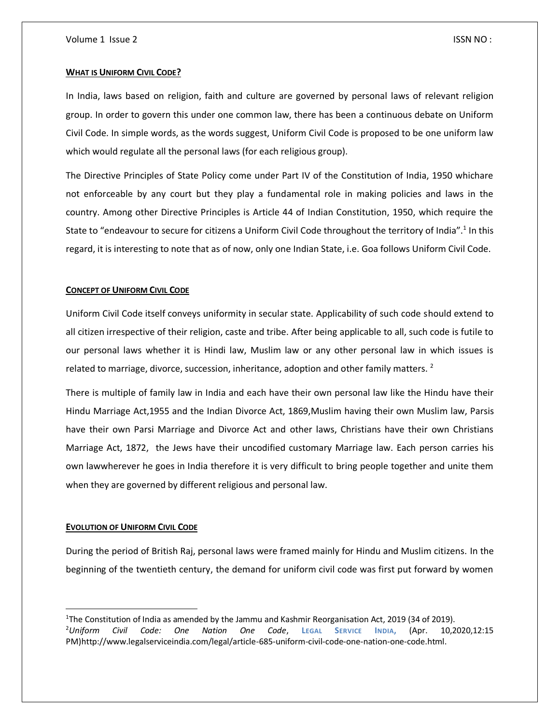#### **WHAT IS UNIFORM CIVIL CODE?**

In India, laws based on religion, faith and culture are governed by personal laws of relevant religion group. In order to govern this under one common law, there has been a continuous debate on Uniform Civil Code. In simple words, as the words suggest, Uniform Civil Code is proposed to be one uniform law which would regulate all the personal laws (for each religious group).

The Directive Principles of State Policy come under Part IV of the Constitution of India, 1950 whichare not enforceable by any court but they play a fundamental role in making policies and laws in the country. Among other Directive Principles is Article 44 of Indian Constitution, 1950, which require the State to "endeavour to secure for citizens a Uniform Civil Code throughout the territory of India".<sup>1</sup> In this regard, it is interesting to note that as of now, only one Indian State, i.e. Goa follows Uniform Civil Code.

#### **CONCEPT OF UNIFORM CIVIL CODE**

Uniform Civil Code itself conveys uniformity in secular state. Applicability of such code should extend to all citizen irrespective of their religion, caste and tribe. After being applicable to all, such code is futile to our personal laws whether it is Hindi law, Muslim law or any other personal law in which issues is related to marriage, divorce, succession, inheritance, adoption and other family matters.<sup>2</sup>

There is multiple of family law in India and each have their own personal law like the Hindu have their Hindu Marriage Act,1955 and the Indian Divorce Act, 1869,Muslim having their own Muslim law, Parsis have their own Parsi Marriage and Divorce Act and other laws, Christians have their own Christians Marriage Act, 1872, the Jews have their uncodified customary Marriage law. Each person carries his own lawwherever he goes in India therefore it is very difficult to bring people together and unite them when they are governed by different religious and personal law.

#### **EVOLUTION OF UNIFORM CIVIL CODE**

 $\overline{a}$ 

During the period of British Raj, personal laws were framed mainly for Hindu and Muslim citizens. In the beginning of the twentieth century, the demand for uniform civil code was first put forward by women

<sup>1</sup>The Constitution of India as amended by the Jammu and Kashmir Reorganisation Act, 2019 (34 of 2019). <sup>2</sup>*Uniform Civil Code: One Nation One Code*, **LEGAL SERVICE INDIA,** (Apr. 10,2020,12:15 PM)http://www.legalserviceindia.com/legal/article-685-uniform-civil-code-one-nation-one-code.html.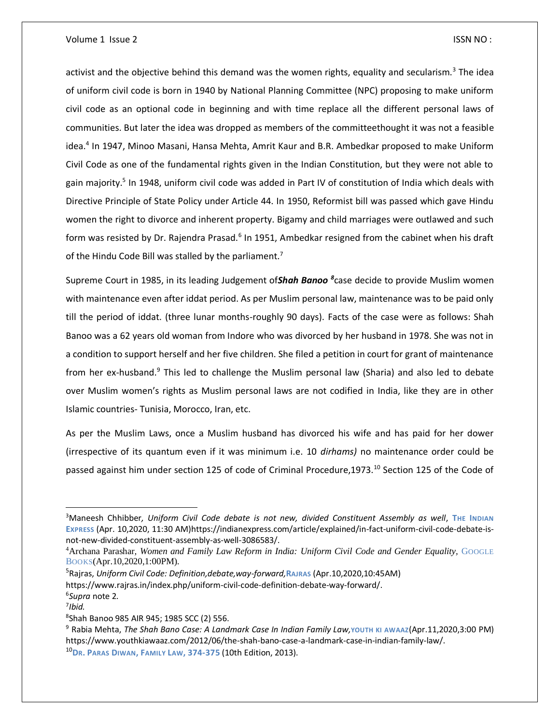activist and the objective behind this demand was the women rights, equality and secularism.<sup>3</sup> The idea of uniform civil code is born in 1940 by National Planning Committee (NPC) proposing to make uniform civil code as an optional code in beginning and with time replace all the different personal laws of communities. But later the idea was dropped as members of the committeethought it was not a feasible idea.<sup>4</sup> In 1947, Minoo Masani, Hansa Mehta, Amrit Kaur and B.R. Ambedkar proposed to make Uniform Civil Code as one of the fundamental rights given in the Indian Constitution, but they were not able to gain majority.<sup>5</sup> In 1948, uniform civil code was added in Part IV of constitution of India which deals with Directive Principle of State Policy under Article 44. In 1950, Reformist bill was passed which gave Hindu women the right to divorce and inherent property. Bigamy and child marriages were outlawed and such form was resisted by Dr. Rajendra Prasad.<sup>6</sup> In 1951, Ambedkar resigned from the cabinet when his draft of the Hindu Code Bill was stalled by the parliament.<sup>7</sup>

Supreme Court in 1985, in its leading Judgement of*Shah Banoo <sup>8</sup>* case decide to provide Muslim women with maintenance even after iddat period. As per Muslim personal law, maintenance was to be paid only till the period of iddat. (three lunar months-roughly 90 days). Facts of the case were as follows: Shah Banoo was a 62 years old woman from Indore who was divorced by her husband in 1978. She was not in a condition to support herself and her five children. She filed a petition in court for grant of maintenance from her ex-husband.<sup>9</sup> This led to challenge the Muslim personal law (Sharia) and also led to debate over Muslim women's rights as Muslim personal laws are not codified in India, like they are in other Islamic countries- Tunisia, Morocco, Iran, etc.

As per the Muslim Laws, once a Muslim husband has divorced his wife and has paid for her dower (irrespective of its quantum even if it was minimum i.e. 10 *dirhams)* no maintenance order could be passed against him under section 125 of code of Criminal Procedure, 1973.<sup>10</sup> Section 125 of the Code of

 $\overline{a}$ 

<sup>3</sup>Maneesh Chhibber*, Uniform Civil Code debate is not new, divided Constituent Assembly as well*, **THE INDIAN EXPRESS** (Apr. 10,2020, 11:30 AM)https://indianexpress.com/article/explained/in-fact-uniform-civil-code-debate-isnot-new-divided-constituent-assembly-as-well-3086583/.

<sup>4</sup>Archana Parashar*, Women and Family Law Reform in India: Uniform Civil Code and Gender Equality,* GOOGLE BOOKS(Apr.10,2020,1:00PM).

<sup>5</sup>Rajras, *Uniform Civil Code: Definition,debate,way-forward,***RAJRAS** (Apr.10,2020,10:45AM) https://www.rajras.in/index.php/uniform-civil-code-definition-debate-way-forward/. 6 *Supra* note 2.

<sup>7</sup> *Ibid.*

<sup>8</sup> Shah Banoo 985 AIR 945; 1985 SCC (2) 556.

<sup>9</sup> Rabia Mehta, *The Shah Bano Case: A Landmark Case In Indian Family Law,***YOUTH KI AWAAZ**(Apr.11,2020,3:00 PM) https://www.youthkiawaaz.com/2012/06/the-shah-bano-case-a-landmark-case-in-indian-family-law/. <sup>10</sup>**DR. PARAS DIWAN, FAMILY LAW, 374-375** (10th Edition, 2013).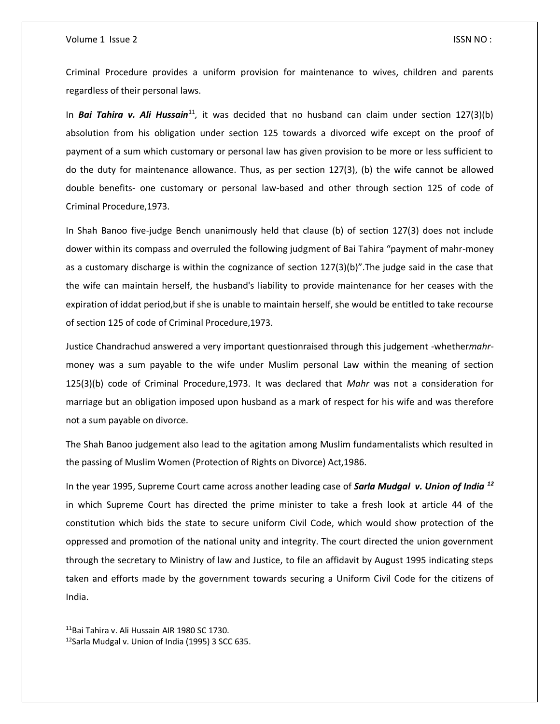#### Volume 1 Issue 2 ISSN NO :

Criminal Procedure provides a uniform provision for maintenance to wives, children and parents regardless of their personal laws.

In Bai Tahira v. Ali Hussain<sup>11</sup>, it was decided that no husband can claim under section 127(3)(b) absolution from his obligation under section 125 towards a divorced wife except on the proof of payment of a sum which customary or personal law has given provision to be more or less sufficient to do the duty for maintenance allowance. Thus, as per section 127(3), (b) the wife cannot be allowed double benefits- one customary or personal law-based and other through section 125 of code of Criminal Procedure,1973.

In Shah Banoo five-judge Bench unanimously held that clause (b) of section 127(3) does not include dower within its compass and overruled the following judgment of Bai Tahira "payment of mahr-money as a customary discharge is within the cognizance of section 127(3)(b)".The judge said in the case that the wife can maintain herself, the husband's liability to provide maintenance for her ceases with the expiration of iddat period,but if she is unable to maintain herself, she would be entitled to take recourse of section 125 of code of Criminal Procedure,1973.

Justice Chandrachud answered a very important questionraised through this judgement -whether*mahr*money was a sum payable to the wife under Muslim personal Law within the meaning of section 125(3)(b) code of Criminal Procedure,1973. It was declared that *Mahr* was not a consideration for marriage but an obligation imposed upon husband as a mark of respect for his wife and was therefore not a sum payable on divorce.

The Shah Banoo judgement also lead to the agitation among Muslim fundamentalists which resulted in the passing of Muslim Women (Protection of Rights on Divorce) Act,1986.

In the year 1995, Supreme Court came across another leading case of *Sarla Mudgal v. Union of India <sup>12</sup>* in which Supreme Court has directed the prime minister to take a fresh look at article 44 of the constitution which bids the state to secure uniform Civil Code, which would show protection of the oppressed and promotion of the national unity and integrity. The court directed the union government through the secretary to Ministry of law and Justice, to file an affidavit by August 1995 indicating steps taken and efforts made by the government towards securing a Uniform Civil Code for the citizens of India.

 $\overline{a}$ 

<sup>11</sup>Bai Tahira v. Ali Hussain AIR 1980 SC 1730.

<sup>&</sup>lt;sup>12</sup>Sarla Mudgal v. Union of India (1995) 3 SCC 635.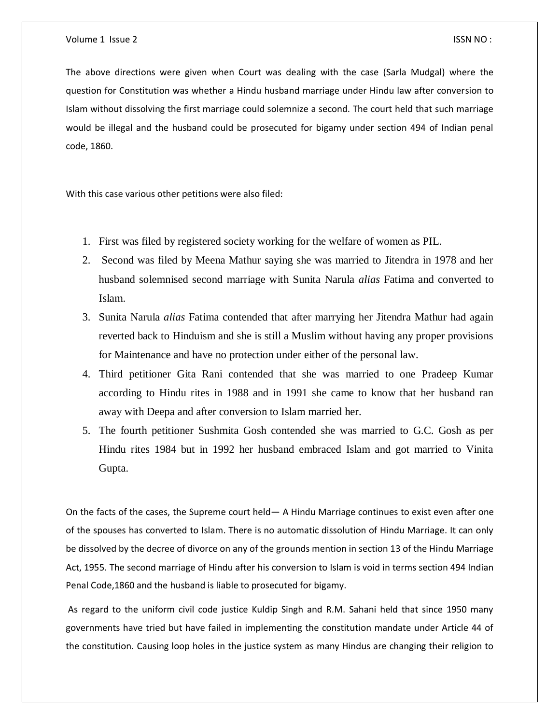The above directions were given when Court was dealing with the case (Sarla Mudgal) where the question for Constitution was whether a Hindu husband marriage under Hindu law after conversion to Islam without dissolving the first marriage could solemnize a second. The court held that such marriage would be illegal and the husband could be prosecuted for bigamy under section 494 of Indian penal code, 1860.

With this case various other petitions were also filed:

- 1. First was filed by registered society working for the welfare of women as PIL.
- 2. Second was filed by Meena Mathur saying she was married to Jitendra in 1978 and her husband solemnised second marriage with Sunita Narula *alias* Fatima and converted to Islam.
- 3. Sunita Narula *alias* Fatima contended that after marrying her Jitendra Mathur had again reverted back to Hinduism and she is still a Muslim without having any proper provisions for Maintenance and have no protection under either of the personal law.
- 4. Third petitioner Gita Rani contended that she was married to one Pradeep Kumar according to Hindu rites in 1988 and in 1991 she came to know that her husband ran away with Deepa and after conversion to Islam married her.
- 5. The fourth petitioner Sushmita Gosh contended she was married to G.C. Gosh as per Hindu rites 1984 but in 1992 her husband embraced Islam and got married to Vinita Gupta.

On the facts of the cases, the Supreme court held— A Hindu Marriage continues to exist even after one of the spouses has converted to Islam. There is no automatic dissolution of Hindu Marriage. It can only be dissolved by the decree of divorce on any of the grounds mention in section 13 of the Hindu Marriage Act, 1955. The second marriage of Hindu after his conversion to Islam is void in terms section 494 Indian Penal Code,1860 and the husband is liable to prosecuted for bigamy.

As regard to the uniform civil code justice Kuldip Singh and R.M. Sahani held that since 1950 many governments have tried but have failed in implementing the constitution mandate under Article 44 of the constitution. Causing loop holes in the justice system as many Hindus are changing their religion to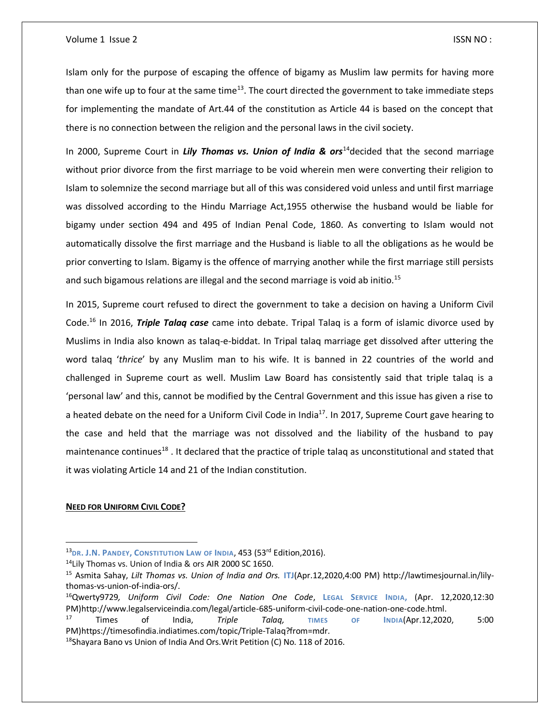#### Volume 1 Issue 2 ISSN NO :

Islam only for the purpose of escaping the offence of bigamy as Muslim law permits for having more than one wife up to four at the same time $13$ . The court directed the government to take immediate steps for implementing the mandate of Art.44 of the constitution as Article 44 is based on the concept that there is no connection between the religion and the personal laws in the civil society.

In 2000, Supreme Court in *Lily Thomas vs. Union of India & ors*<sup>14</sup>decided that the second marriage without prior divorce from the first marriage to be void wherein men were converting their religion to Islam to solemnize the second marriage but all of this was considered void unless and until first marriage was dissolved according to the Hindu Marriage Act,1955 otherwise the husband would be liable for bigamy under section 494 and 495 of Indian Penal Code, 1860. As converting to Islam would not automatically dissolve the first marriage and the Husband is liable to all the obligations as he would be prior converting to Islam. Bigamy is the offence of marrying another while the first marriage still persists and such bigamous relations are illegal and the second marriage is void ab initio.<sup>15</sup>

In 2015, Supreme court refused to direct the government to take a decision on having a Uniform Civil Code.<sup>16</sup> In 2016, *Triple Talaq case* came into debate. Tripal Talaq is a form of islamic divorce used by Muslims in India also known as talaq-e-biddat. In Tripal talaq marriage get dissolved after uttering the word talaq '*thrice*' by any Muslim man to his wife. It is banned in 22 countries of the world and challenged in Supreme court as well. Muslim Law Board has consistently said that triple talaq is a 'personal law' and this, cannot be modified by the Central Government and this issue has given a rise to a heated debate on the need for a Uniform Civil Code in India<sup>17</sup>. In 2017, Supreme Court gave hearing to the case and held that the marriage was not dissolved and the liability of the husband to pay maintenance continues<sup>18</sup>. It declared that the practice of triple talaq as unconstitutional and stated that it was violating Article 14 and 21 of the Indian constitution.

#### **NEED FOR UNIFORM CIVIL CODE?**

 $\overline{\phantom{a}}$ 

<sup>13</sup>**DR. J.N. PANDEY, CONSTITUTION LAW OF INDIA**, 453 (53rd Edition,2016).

<sup>14</sup>Lily Thomas vs. Union of India & ors AIR 2000 SC 1650.

<sup>15</sup> Asmita Sahay, *Lilt Thomas vs. Union of India and Ors.* **ITJ**(Apr.12,2020,4:00 PM) http://lawtimesjournal.in/lilythomas-vs-union-of-india-ors/.

<sup>16</sup>Qwerty9729*, Uniform Civil Code: One Nation One Code*, **LEGAL SERVICE INDIA,** (Apr. 12,2020,12:30 PM)http://www.legalserviceindia.com/legal/article-685-uniform-civil-code-one-nation-one-code.html.

<sup>17</sup> Times of India, *Triple Talaq,* **TIMES OF INDIA**(Apr.12,2020, 5:00 PM)https://timesofindia.indiatimes.com/topic/Triple-Talaq?from=mdr.

<sup>&</sup>lt;sup>18</sup>Shayara Bano vs Union of India And Ors. Writ Petition (C) No. 118 of 2016.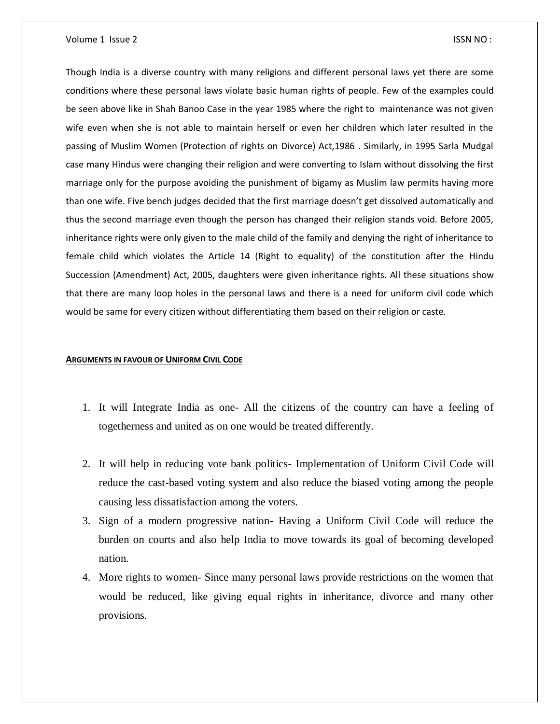#### Volume 1 Issue 2 ISSN NO :

Though India is a diverse country with many religions and different personal laws yet there are some conditions where these personal laws violate basic human rights of people. Few of the examples could be seen above like in Shah Banoo Case in the year 1985 where the right to maintenance was not given wife even when she is not able to maintain herself or even her children which later resulted in the passing of Muslim Women (Protection of rights on Divorce) Act,1986 . Similarly, in 1995 Sarla Mudgal case many Hindus were changing their religion and were converting to Islam without dissolving the first marriage only for the purpose avoiding the punishment of bigamy as Muslim law permits having more than one wife. Five bench judges decided that the first marriage doesn't get dissolved automatically and thus the second marriage even though the person has changed their religion stands void. Before 2005, inheritance rights were only given to the male child of the family and denying the right of inheritance to female child which violates the Article 14 (Right to equality) of the constitution after the Hindu Succession (Amendment) Act, 2005, daughters were given inheritance rights. All these situations show that there are many loop holes in the personal laws and there is a need for uniform civil code which would be same for every citizen without differentiating them based on their religion or caste.

#### **ARGUMENTS IN FAVOUR OF UNIFORM CIVIL CODE**

- 1. It will Integrate India as one- All the citizens of the country can have a feeling of togetherness and united as on one would be treated differently.
- 2. It will help in reducing vote bank politics- Implementation of Uniform Civil Code will reduce the cast-based voting system and also reduce the biased voting among the people causing less dissatisfaction among the voters.
- 3. Sign of a modern progressive nation- Having a Uniform Civil Code will reduce the burden on courts and also help India to move towards its goal of becoming developed nation.
- 4. More rights to women- Since many personal laws provide restrictions on the women that would be reduced, like giving equal rights in inheritance, divorce and many other provisions.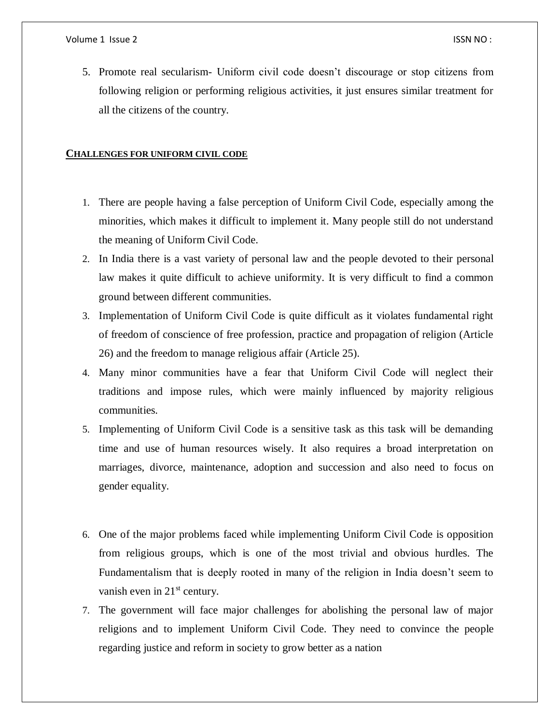5. Promote real secularism- Uniform civil code doesn't discourage or stop citizens from following religion or performing religious activities, it just ensures similar treatment for all the citizens of the country.

## **CHALLENGES FOR UNIFORM CIVIL CODE**

- 1. There are people having a false perception of Uniform Civil Code, especially among the minorities, which makes it difficult to implement it. Many people still do not understand the meaning of Uniform Civil Code.
- 2. In India there is a vast variety of personal law and the people devoted to their personal law makes it quite difficult to achieve uniformity. It is very difficult to find a common ground between different communities.
- 3. Implementation of Uniform Civil Code is quite difficult as it violates fundamental right of freedom of conscience of free profession, practice and propagation of religion (Article 26) and the freedom to manage religious affair (Article 25).
- 4. Many minor communities have a fear that Uniform Civil Code will neglect their traditions and impose rules, which were mainly influenced by majority religious communities.
- 5. Implementing of Uniform Civil Code is a sensitive task as this task will be demanding time and use of human resources wisely. It also requires a broad interpretation on marriages, divorce, maintenance, adoption and succession and also need to focus on gender equality.
- 6. One of the major problems faced while implementing Uniform Civil Code is opposition from religious groups, which is one of the most trivial and obvious hurdles. The Fundamentalism that is deeply rooted in many of the religion in India doesn't seem to vanish even in  $21<sup>st</sup>$  century.
- 7. The government will face major challenges for abolishing the personal law of major religions and to implement Uniform Civil Code. They need to convince the people regarding justice and reform in society to grow better as a nation